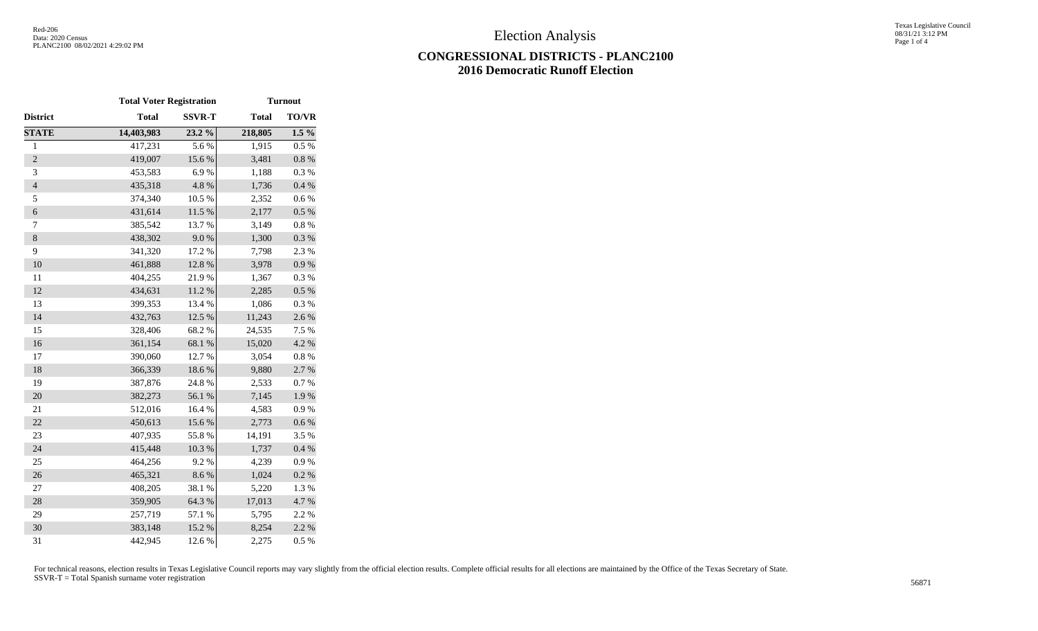## **CONGRESSIONAL DISTRICTS - PLANC2100 2016 Democratic Runoff Election**

|                | <b>Total Voter Registration</b> |               |              | <b>Turnout</b> |
|----------------|---------------------------------|---------------|--------------|----------------|
| District       | <b>Total</b>                    | <b>SSVR-T</b> | <b>Total</b> | TO/VR          |
| <b>STATE</b>   | 14,403,983                      | 23.2 %        | 218,805      | $1.5\%$        |
| $\mathbf{1}$   | 417,231                         | 5.6%          | 1,915        | 0.5%           |
| $\overline{2}$ | 419,007                         | 15.6 %        | 3,481        | $0.8~\%$       |
| 3              | 453,583                         | 6.9%          | 1,188        | 0.3 %          |
| $\overline{4}$ | 435,318                         | 4.8 %         | 1,736        | $0.4~\%$       |
| 5              | 374,340                         | 10.5 %        | 2,352        | $0.6\ \%$      |
| $\sqrt{6}$     | 431,614                         | $11.5~\%$     | 2,177        | $0.5~\%$       |
| 7              | 385,542                         | 13.7%         | 3,149        | $0.8~\%$       |
| $\bf 8$        | 438,302                         | $9.0\ \%$     | 1,300        | $0.3~\%$       |
| 9              | 341,320                         | 17.2 %        | 7,798        | 2.3 %          |
| 10             | 461,888                         | 12.8 %        | 3,978        | $0.9~\%$       |
| 11             | 404,255                         | 21.9%         | 1,367        | 0.3%           |
| 12             | 434,631                         | 11.2 %        | 2,285        | 0.5 %          |
| 13             | 399,353                         | 13.4 %        | 1,086        | 0.3%           |
| 14             | 432,763                         | 12.5 %        | 11,243       | 2.6 %          |
| 15             | 328,406                         | 68.2%         | 24,535       | 7.5 %          |
| 16             | 361,154                         | 68.1 %        | 15,020       | 4.2 %          |
| 17             | 390,060                         | 12.7 %        | 3,054        | $0.8~\%$       |
| 18             | 366,339                         | 18.6 %        | 9,880        | 2.7 %          |
| 19             | 387,876                         | 24.8 %        | 2,533        | 0.7 %          |
| 20             | 382,273                         | 56.1 %        | 7,145        | 1.9%           |
| 21             | 512,016                         | 16.4 %        | 4,583        | 0.9%           |
| 22             | 450,613                         | 15.6 %        | 2,773        | $0.6\ \%$      |
| 23             | 407,935                         | 55.8%         | 14,191       | 3.5 %          |
| 24             | 415,448                         | 10.3 %        | 1,737        | 0.4 %          |
| 25             | 464,256                         | 9.2%          | 4,239        | 0.9%           |
| 26             | 465,321                         | 8.6%          | 1,024        | 0.2 %          |
| $27\,$         | 408,205                         | 38.1 %        | 5,220        | 1.3%           |
| 28             | 359,905                         | 64.3 %        | 17,013       | 4.7%           |
| 29             | 257,719                         | 57.1 %        | 5,795        | 2.2 %          |
| 30             | 383,148                         | 15.2%         | 8,254        | 2.2 %          |
| 31             | 442,945                         | 12.6 %        | 2,275        | 0.5 %          |

For technical reasons, election results in Texas Legislative Council reports may vary slightly from the official election results. Complete official results for all elections are maintained by the Office of the Texas Secre SSVR-T = Total Spanish surname voter registration <sup>56871</sup>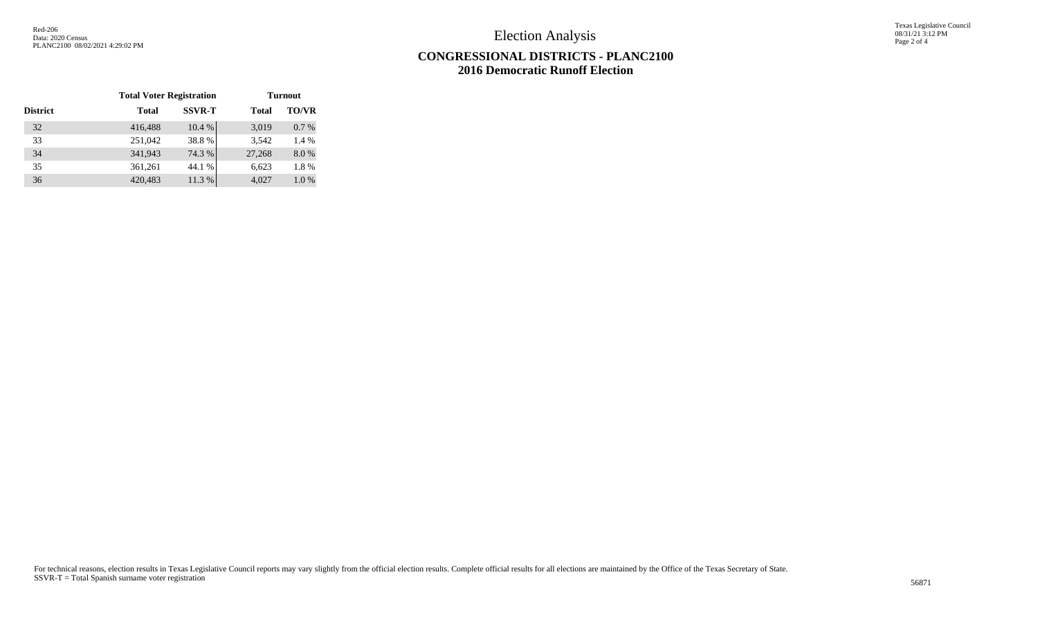Election Analysis

Texas Legislative Council 08/31/21 3:12 PM Page 2 of 4

## **CONGRESSIONAL DISTRICTS - PLANC2100 2016 Democratic Runoff Election**

|                 | <b>Total Voter Registration</b> |               | <b>Turnout</b> |              |
|-----------------|---------------------------------|---------------|----------------|--------------|
| <b>District</b> | <b>Total</b>                    | <b>SSVR-T</b> | <b>Total</b>   | <b>TO/VR</b> |
| 32              | 416,488                         | 10.4 %        | 3,019          | 0.7%         |
| 33              | 251,042                         | 38.8%         | 3.542          | 1.4 %        |
| 34              | 341,943                         | 74.3 %        | 27,268         | 8.0%         |
| 35              | 361,261                         | 44.1 %        | 6,623          | 1.8%         |
| 36              | 420,483                         | 11.3 %        | 4,027          | 1.0%         |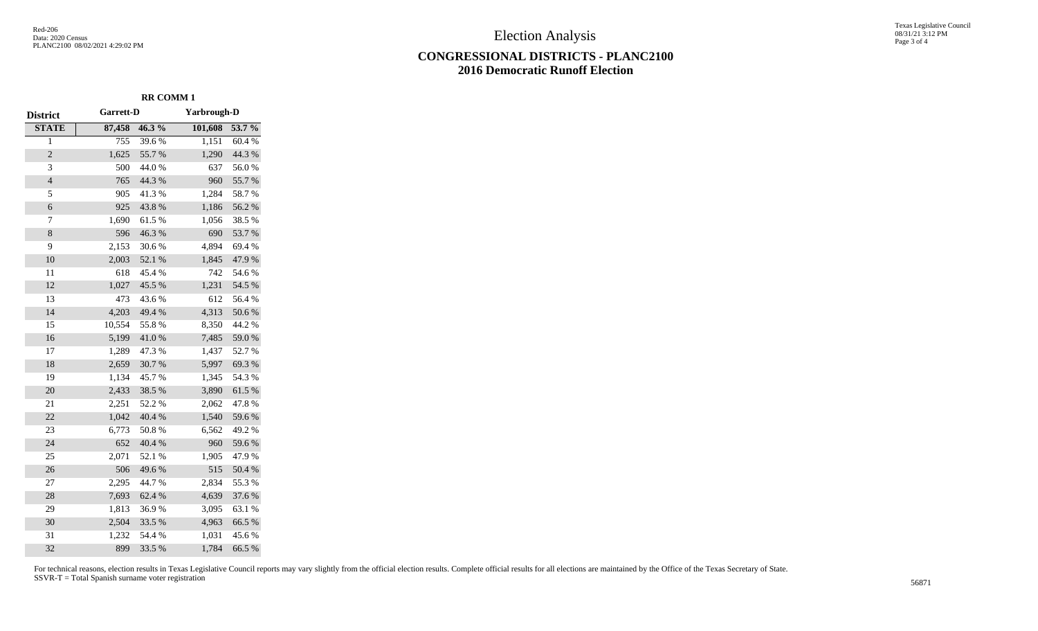Election Analysis

## **CONGRESSIONAL DISTRICTS - PLANC2100 2016 Democratic Runoff Election**

Texas Legislative Council 08/31/21 3:12 PM Page 3 of 4

| <b>District</b> | Garrett-D |        | Yarbrough-D |        |
|-----------------|-----------|--------|-------------|--------|
| <b>STATE</b>    | 87,458    | 46.3%  | 101,608     | 53.7 % |
| $\overline{1}$  | 755       | 39.6%  | 1,151       | 60.4%  |
| $\overline{2}$  | 1,625     | 55.7%  | 1,290       | 44.3 % |
| 3               | 500       | 44.0%  | 637         | 56.0%  |
| $\overline{4}$  | 765       | 44.3 % | 960         | 55.7%  |
| 5               | 905       | 41.3%  | 1,284       | 58.7%  |
| 6               | 925       | 43.8%  | 1,186       | 56.2%  |
| 7               | 1,690     | 61.5%  | 1,056       | 38.5 % |
| 8               | 596       | 46.3%  | 690         | 53.7%  |
| 9               | 2,153     | 30.6%  | 4,894       | 69.4%  |
| 10              | 2,003     | 52.1 % | 1,845       | 47.9%  |
| 11              | 618       | 45.4 % | 742         | 54.6%  |
| 12              | 1,027     | 45.5 % | 1,231       | 54.5 % |
| 13              | 473       | 43.6%  | 612         | 56.4 % |
| 14              | 4,203     | 49.4 % | 4,313       | 50.6%  |
| 15              | 10,554    | 55.8%  | 8,350       | 44.2 % |
| 16              | 5,199     | 41.0%  | 7,485       | 59.0%  |
| 17              | 1,289     | 47.3%  | 1,437       | 52.7%  |
| 18              | 2,659     | 30.7%  | 5,997       | 69.3%  |
| 19              | 1,134     | 45.7%  | 1,345       | 54.3 % |
| 20              | 2,433     | 38.5%  | 3,890       | 61.5%  |
| 21              | 2,251     | 52.2 % | 2,062       | 47.8%  |
| 22              | 1,042     | 40.4 % | 1,540       | 59.6%  |
| 23              | 6,773     | 50.8%  | 6,562       | 49.2%  |
| 24              | 652       | 40.4 % | 960         | 59.6%  |
| 25              | 2,071     | 52.1 % | 1,905       | 47.9%  |
| 26              | 506       | 49.6%  | 515         | 50.4 % |
| 27              | 2,295     | 44.7%  | 2,834       | 55.3%  |
| 28              | 7,693     | 62.4 % | 4,639       | 37.6%  |
| 29              | 1,813     | 36.9%  | 3,095       | 63.1 % |
| 30              | 2,504     | 33.5 % | 4,963       | 66.5%  |
| 31              | 1,232     | 54.4 % | 1,031       | 45.6%  |
| 32              | 899       | 33.5 % | 1,784       | 66.5%  |

For technical reasons, election results in Texas Legislative Council reports may vary slightly from the official election results. Complete official results for all elections are maintained by the Office of the Texas Secre SSVR-T = Total Spanish surname voter registration <sup>56871</sup>